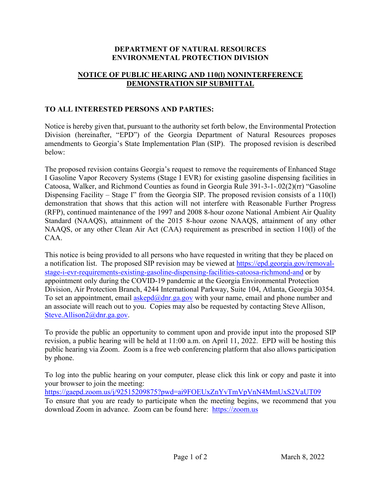## **DEPARTMENT OF NATURAL RESOURCES ENVIRONMENTAL PROTECTION DIVISION**

## **NOTICE OF PUBLIC HEARING AND 110(l) NONINTERFERENCE DEMONSTRATION SIP SUBMITTAL**

## **TO ALL INTERESTED PERSONS AND PARTIES:**

Notice is hereby given that, pursuant to the authority set forth below, the Environmental Protection Division (hereinafter, "EPD") of the Georgia Department of Natural Resources proposes amendments to Georgia's State Implementation Plan (SIP). The proposed revision is described below:

The proposed revision contains Georgia's request to remove the requirements of Enhanced Stage I Gasoline Vapor Recovery Systems (Stage I EVR) for existing gasoline dispensing facilities in Catoosa, Walker, and Richmond Counties as found in Georgia Rule 391-3-1-.02(2)(rr) "Gasoline Dispensing Facility – Stage I" from the Georgia SIP. The proposed revision consists of a 110(1) demonstration that shows that this action will not interfere with Reasonable Further Progress (RFP), continued maintenance of the 1997 and 2008 8-hour ozone National Ambient Air Quality Standard (NAAQS), attainment of the 2015 8-hour ozone NAAQS, attainment of any other NAAQS, or any other Clean Air Act (CAA) requirement as prescribed in section 110(l) of the CAA.

This notice is being provided to all persons who have requested in writing that they be placed on a notification list. The proposed SIP revision may be viewed at [https://epd.georgia.gov/removal](https://epd.georgia.gov/removal-stage-i-evr-requirements-existing-gasoline-dispensing-facilities-catoosa-richmond-and)[stage-i-evr-requirements-existing-gasoline-dispensing-facilities-catoosa-richmond-and](https://epd.georgia.gov/removal-stage-i-evr-requirements-existing-gasoline-dispensing-facilities-catoosa-richmond-and) or by appointment only during the COVID-19 pandemic at the Georgia Environmental Protection Division, Air Protection Branch, 4244 International Parkway, Suite 104, Atlanta, Georgia 30354. To set an appointment, email [askepd@dnr.ga.gov](mailto:askepd@dnr.ga.gov) with your name, email and phone number and an associate will reach out to you. Copies may also be requested by contacting Steve Allison, [Steve.Allison2@dnr.ga.gov.](mailto:Steve.Allison2@dnr.ga.gov)

To provide the public an opportunity to comment upon and provide input into the proposed SIP revision, a public hearing will be held at 11:00 a.m. on April 11, 2022. EPD will be hosting this public hearing via Zoom. Zoom is a free web conferencing platform that also allows participation by phone.

To log into the public hearing on your computer, please click this link or copy and paste it into your browser to join the meeting:

<https://gaepd.zoom.us/j/92515209875?pwd=ai9FOEUxZnYvTmVpVnN4MmUxS2VaUT09> To ensure that you are ready to participate when the meeting begins, we recommend that you download Zoom in advance. Zoom can be found here: [https://zoom.us](https://zoom.us/)